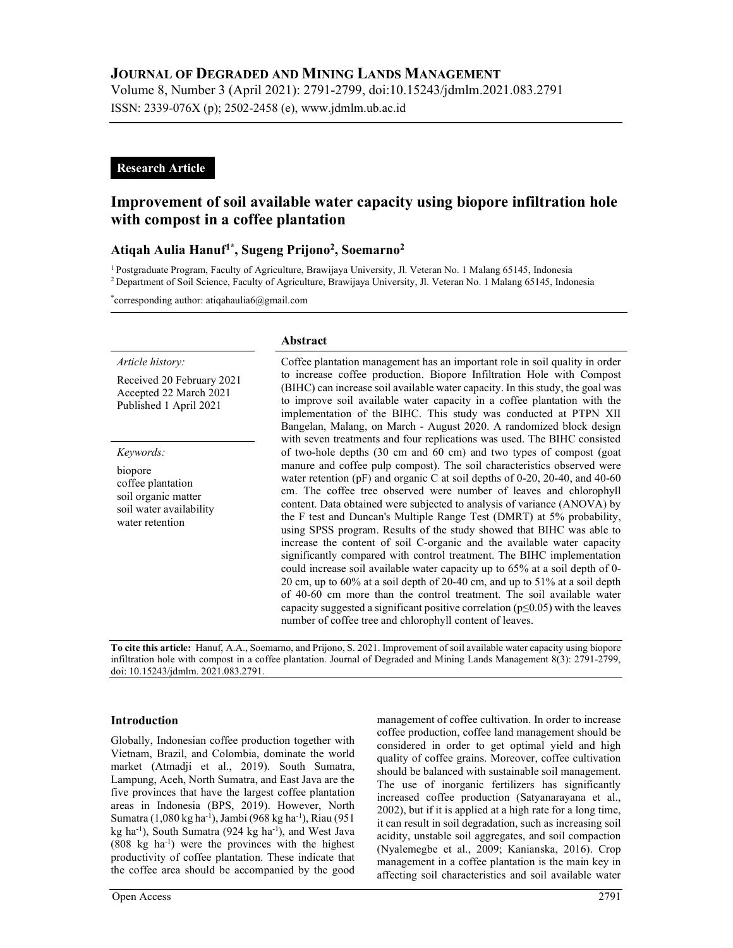Volume 8, Number 3 (April 2021): 2791-2799, doi:10.15243/jdmlm.2021.083.2791 ISSN: 2339-076X (p); 2502-2458 (e), www.jdmlm.ub.ac.id

# Research Article

# Improvement of soil available water capacity using biopore infiltration hole with compost in a coffee plantation

# Atiqah Aulia Hanuf<sup>1\*</sup>, Sugeng Prijono<sup>2</sup>, Soemarno<sup>2</sup>

<sup>1</sup>Postgraduate Program, Faculty of Agriculture, Brawijaya University, Jl. Veteran No. 1 Malang 65145, Indonesia <sup>2</sup>Department of Soil Science, Faculty of Agriculture, Brawijaya University, Jl. Veteran No. 1 Malang 65145, Indonesia

\*corresponding author: atiqahaulia6@gmail.com

#### Article history:

Received 20 February 2021 Accepted 22 March 2021 Published 1 April 2021

Keywords:

biopore coffee plantation soil organic matter soil water availability water retention

#### Abstract

Coffee plantation management has an important role in soil quality in order to increase coffee production. Biopore Infiltration Hole with Compost (BIHC) can increase soil available water capacity. In this study, the goal was to improve soil available water capacity in a coffee plantation with the implementation of the BIHC. This study was conducted at PTPN XII Bangelan, Malang, on March - August 2020. A randomized block design with seven treatments and four replications was used. The BIHC consisted of two-hole depths (30 cm and 60 cm) and two types of compost (goat manure and coffee pulp compost). The soil characteristics observed were water retention (pF) and organic C at soil depths of 0-20, 20-40, and 40-60 cm. The coffee tree observed were number of leaves and chlorophyll content. Data obtained were subjected to analysis of variance (ANOVA) by the F test and Duncan's Multiple Range Test (DMRT) at 5% probability, using SPSS program. Results of the study showed that BIHC was able to increase the content of soil C-organic and the available water capacity significantly compared with control treatment. The BIHC implementation could increase soil available water capacity up to 65% at a soil depth of 0- 20 cm, up to 60% at a soil depth of 20-40 cm, and up to 51% at a soil depth of 40-60 cm more than the control treatment. The soil available water capacity suggested a significant positive correlation ( $p \le 0.05$ ) with the leaves number of coffee tree and chlorophyll content of leaves.

To cite this article: Hanuf, A.A., Soemarno, and Prijono, S. 2021. Improvement of soil available water capacity using biopore infiltration hole with compost in a coffee plantation. Journal of Degraded and Mining Lands Management 8(3): 2791-2799, doi: 10.15243/jdmlm. 2021.083.2791.

### Introduction

Globally, Indonesian coffee production together with Vietnam, Brazil, and Colombia, dominate the world market (Atmadji et al., 2019). South Sumatra, Lampung, Aceh, North Sumatra, and East Java are the five provinces that have the largest coffee plantation areas in Indonesia (BPS, 2019). However, North Sumatra (1,080 kg ha-1), Jambi (968 kg ha-1), Riau (951 kg ha-1), South Sumatra (924 kg ha-1), and West Java  $(808 \text{ kg} \text{ ha}^{-1})$  were the provinces with the highest productivity of coffee plantation. These indicate that the coffee area should be accompanied by the good management of coffee cultivation. In order to increase coffee production, coffee land management should be considered in order to get optimal yield and high quality of coffee grains. Moreover, coffee cultivation should be balanced with sustainable soil management. The use of inorganic fertilizers has significantly increased coffee production (Satyanarayana et al., 2002), but if it is applied at a high rate for a long time, it can result in soil degradation, such as increasing soil acidity, unstable soil aggregates, and soil compaction (Nyalemegbe et al., 2009; Kanianska, 2016). Crop management in a coffee plantation is the main key in affecting soil characteristics and soil available water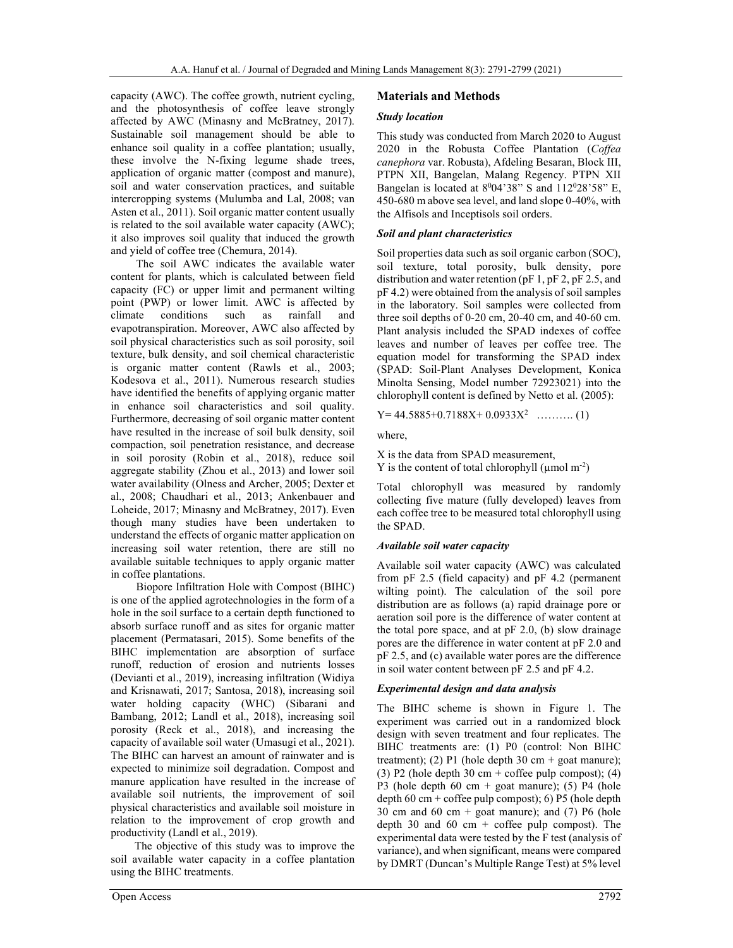capacity (AWC). The coffee growth, nutrient cycling, and the photosynthesis of coffee leave strongly affected by AWC (Minasny and McBratney, 2017). Sustainable soil management should be able to enhance soil quality in a coffee plantation; usually, these involve the N-fixing legume shade trees, application of organic matter (compost and manure), soil and water conservation practices, and suitable intercropping systems (Mulumba and Lal, 2008; van Asten et al., 2011). Soil organic matter content usually is related to the soil available water capacity (AWC); it also improves soil quality that induced the growth and yield of coffee tree (Chemura, 2014).

The soil AWC indicates the available water content for plants, which is calculated between field capacity (FC) or upper limit and permanent wilting point (PWP) or lower limit. AWC is affected by climate conditions such as rainfall and evapotranspiration. Moreover, AWC also affected by soil physical characteristics such as soil porosity, soil texture, bulk density, and soil chemical characteristic is organic matter content (Rawls et al., 2003; Kodesova et al., 2011). Numerous research studies have identified the benefits of applying organic matter in enhance soil characteristics and soil quality. Furthermore, decreasing of soil organic matter content have resulted in the increase of soil bulk density, soil compaction, soil penetration resistance, and decrease in soil porosity (Robin et al., 2018), reduce soil aggregate stability (Zhou et al., 2013) and lower soil water availability (Olness and Archer, 2005; Dexter et al., 2008; Chaudhari et al., 2013; Ankenbauer and Loheide, 2017; Minasny and McBratney, 2017). Even though many studies have been undertaken to understand the effects of organic matter application on increasing soil water retention, there are still no available suitable techniques to apply organic matter in coffee plantations.

Biopore Infiltration Hole with Compost (BIHC) is one of the applied agrotechnologies in the form of a hole in the soil surface to a certain depth functioned to absorb surface runoff and as sites for organic matter placement (Permatasari, 2015). Some benefits of the BIHC implementation are absorption of surface runoff, reduction of erosion and nutrients losses (Devianti et al., 2019), increasing infiltration (Widiya and Krisnawati, 2017; Santosa, 2018), increasing soil water holding capacity (WHC) (Sibarani and Bambang, 2012; Landl et al., 2018), increasing soil porosity (Reck et al., 2018), and increasing the capacity of available soil water (Umasugi et al., 2021). The BIHC can harvest an amount of rainwater and is expected to minimize soil degradation. Compost and manure application have resulted in the increase of available soil nutrients, the improvement of soil physical characteristics and available soil moisture in relation to the improvement of crop growth and productivity (Landl et al., 2019).

 The objective of this study was to improve the soil available water capacity in a coffee plantation using the BIHC treatments.

### Materials and Methods

### Study location

This study was conducted from March 2020 to August 2020 in the Robusta Coffee Plantation (Coffea canephora var. Robusta), Afdeling Besaran, Block III, PTPN XII, Bangelan, Malang Regency. PTPN XII Bangelan is located at  $8^004'38''$  S and  $112^028'58''$  E, 450-680 m above sea level, and land slope 0-40%, with the Alfisols and Inceptisols soil orders.

### Soil and plant characteristics

Soil properties data such as soil organic carbon (SOC), soil texture, total porosity, bulk density, pore distribution and water retention (pF 1, pF 2, pF 2.5, and pF 4.2) were obtained from the analysis of soil samples in the laboratory. Soil samples were collected from three soil depths of 0-20 cm, 20-40 cm, and 40-60 cm. Plant analysis included the SPAD indexes of coffee leaves and number of leaves per coffee tree. The equation model for transforming the SPAD index (SPAD: Soil-Plant Analyses Development, Konica Minolta Sensing, Model number 72923021) into the chlorophyll content is defined by Netto et al. (2005):

$$
Y=44.5885+0.7188X+0.0933X^2
$$
 ......... (1)

where,

X is the data from SPAD measurement, Y is the content of total chlorophyll ( $\mu$ mol m<sup>-2</sup>)

Total chlorophyll was measured by randomly collecting five mature (fully developed) leaves from each coffee tree to be measured total chlorophyll using the SPAD.

#### Available soil water capacity

Available soil water capacity (AWC) was calculated from pF 2.5 (field capacity) and pF 4.2 (permanent wilting point). The calculation of the soil pore distribution are as follows (a) rapid drainage pore or aeration soil pore is the difference of water content at the total pore space, and at pF 2.0, (b) slow drainage pores are the difference in water content at pF 2.0 and pF 2.5, and (c) available water pores are the difference in soil water content between pF 2.5 and pF 4.2.

#### Experimental design and data analysis

The BIHC scheme is shown in Figure 1. The experiment was carried out in a randomized block design with seven treatment and four replicates. The BIHC treatments are: (1) P0 (control: Non BIHC treatment); (2) P1 (hole depth 30 cm + goat manure); (3) P2 (hole depth 30 cm + coffee pulp compost); (4) P3 (hole depth 60 cm + goat manure); (5) P4 (hole depth  $60 \text{ cm} + \text{cofree pulp compost}$ ; 6) P5 (hole depth 30 cm and 60 cm + goat manure); and  $(7)$  P6 (hole depth 30 and 60 cm  $+$  coffee pulp compost). The experimental data were tested by the F test (analysis of variance), and when significant, means were compared by DMRT (Duncan's Multiple Range Test) at 5% level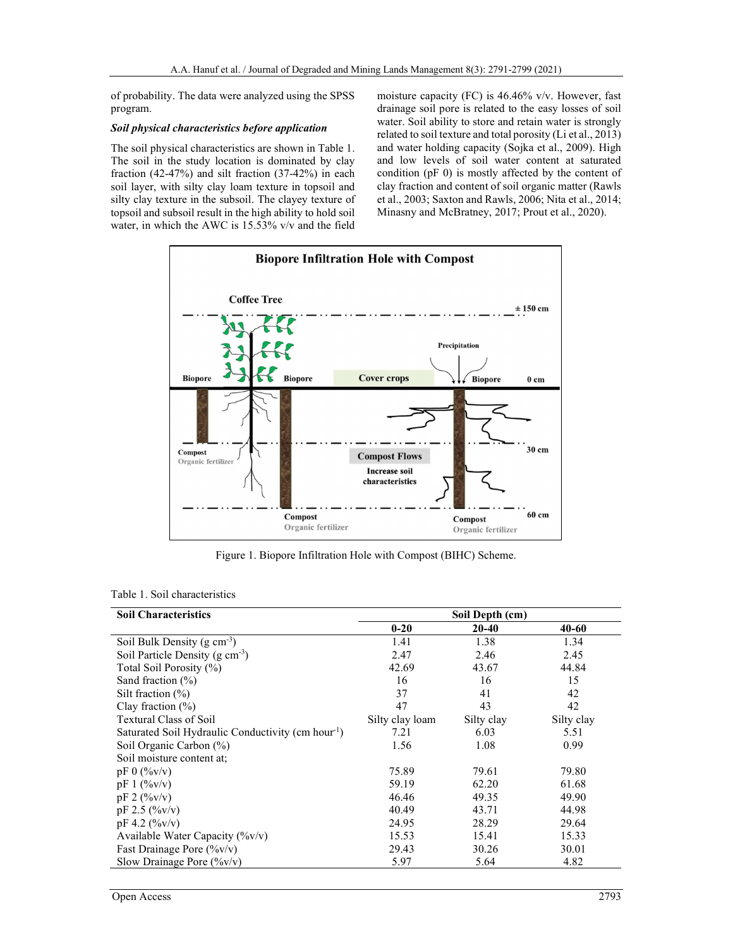of probability. The data were analyzed using the SPSS program.

#### Soil physical characteristics before application

The soil physical characteristics are shown in Table 1. The soil in the study location is dominated by clay fraction (42-47%) and silt fraction (37-42%) in each soil layer, with silty clay loam texture in topsoil and silty clay texture in the subsoil. The clayey texture of topsoil and subsoil result in the high ability to hold soil water, in which the AWC is 15.53% v/v and the field moisture capacity (FC) is 46.46% v/v. However, fast drainage soil pore is related to the easy losses of soil water. Soil ability to store and retain water is strongly related to soil texture and total porosity (Li et al., 2013) and water holding capacity (Sojka et al., 2009). High and low levels of soil water content at saturated condition (pF 0) is mostly affected by the content of clay fraction and content of soil organic matter (Rawls et al., 2003; Saxton and Rawls, 2006; Nita et al., 2014; Minasny and McBratney, 2017; Prout et al., 2020).



Figure 1. Biopore Infiltration Hole with Compost (BIHC) Scheme.

|  | Table 1. Soil characteristics |  |
|--|-------------------------------|--|
|--|-------------------------------|--|

| <b>Soil Characteristics</b>                                    | Soil Depth (cm) |              |            |
|----------------------------------------------------------------|-----------------|--------------|------------|
|                                                                | $0 - 20$        | <b>20-40</b> | 40-60      |
| Soil Bulk Density ( $g \text{ cm}^{-3}$ )                      | 1.41            | 1.38         | 1.34       |
| Soil Particle Density $(g \text{ cm}^{-3})$                    | 2.47            | 2.46         | 2.45       |
| Total Soil Porosity (%)                                        | 42.69           | 43.67        | 44.84      |
| Sand fraction $(\%)$                                           | 16              | 16           | 15         |
| Silt fraction $(\% )$                                          | 37              | 41           | 42         |
| Clay fraction $(\% )$                                          | 47              | 43           | 42         |
| <b>Textural Class of Soil</b>                                  | Silty clay loam | Silty clay   | Silty clay |
| Saturated Soil Hydraulic Conductivity (cm hour <sup>-1</sup> ) | 7.21            | 6.03         | 5.51       |
| Soil Organic Carbon (%)                                        | 1.56            | 1.08         | 0.99       |
| Soil moisture content at:                                      |                 |              |            |
| $pF 0$ (%v/v)                                                  | 75.89           | 79.61        | 79.80      |
| $pF 1$ (% $v/v$ )                                              | 59.19           | 62.20        | 61.68      |
| $pF 2$ (%v/v)                                                  | 46.46           | 49.35        | 49.90      |
| $pF 2.5$ (%v/v)                                                | 40.49           | 43.71        | 44.98      |
| $pF 4.2$ (%v/v)                                                | 24.95           | 28.29        | 29.64      |
| Available Water Capacity (%v/v)                                | 15.53           | 15.41        | 15.33      |
| Fast Drainage Pore $(\%v/v)$                                   | 29.43           | 30.26        | 30.01      |
| Slow Drainage Pore $(\frac{6}{v}v/v)$                          | 5.97            | 5.64         | 4.82       |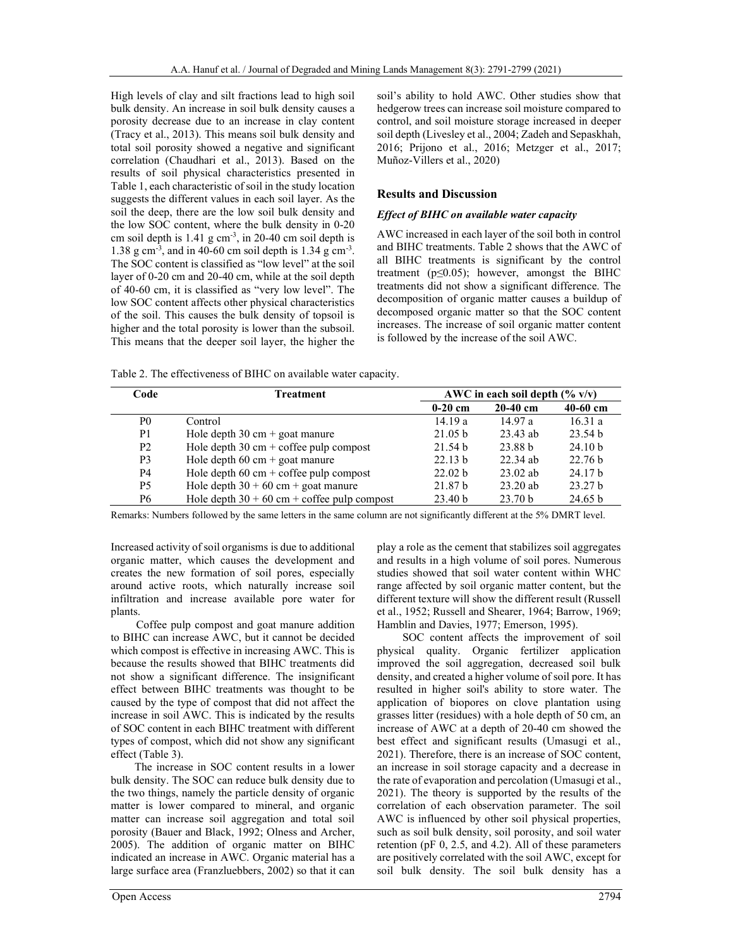High levels of clay and silt fractions lead to high soil bulk density. An increase in soil bulk density causes a porosity decrease due to an increase in clay content (Tracy et al., 2013). This means soil bulk density and total soil porosity showed a negative and significant correlation (Chaudhari et al., 2013). Based on the results of soil physical characteristics presented in Table 1, each characteristic of soil in the study location suggests the different values in each soil layer. As the soil the deep, there are the low soil bulk density and the low SOC content, where the bulk density in 0-20 cm soil depth is  $1.41$  g cm<sup>-3</sup>, in 20-40 cm soil depth is 1.38 g cm<sup>-3</sup>, and in 40-60 cm soil depth is 1.34 g cm<sup>-3</sup>. The SOC content is classified as "low level" at the soil layer of 0-20 cm and 20-40 cm, while at the soil depth of 40-60 cm, it is classified as "very low level". The low SOC content affects other physical characteristics of the soil. This causes the bulk density of topsoil is higher and the total porosity is lower than the subsoil. This means that the deeper soil layer, the higher the

soil's ability to hold AWC. Other studies show that hedgerow trees can increase soil moisture compared to control, and soil moisture storage increased in deeper soil depth (Livesley et al., 2004; Zadeh and Sepaskhah, 2016; Prijono et al., 2016; Metzger et al., 2017; Muñoz-Villers et al., 2020)

### Results and Discussion

### Effect of BIHC on available water capacity

AWC increased in each layer of the soil both in control and BIHC treatments. Table 2 shows that the AWC of all BIHC treatments is significant by the control treatment ( $p \le 0.05$ ); however, amongst the BIHC treatments did not show a significant difference. The decomposition of organic matter causes a buildup of decomposed organic matter so that the SOC content increases. The increase of soil organic matter content is followed by the increase of the soil AWC.

Table 2. The effectiveness of BIHC on available water capacity.

| Code           | <b>Treatment</b>                                        | AWC in each soil depth $(\% \text{ v/v})$ |                    |                    |
|----------------|---------------------------------------------------------|-------------------------------------------|--------------------|--------------------|
|                |                                                         | $0-20$ cm                                 | $20-40$ cm         | $40-60$ cm         |
| P <sub>0</sub> | Control                                                 | 14.19a                                    | 14.97a             | 16.31a             |
| P <sub>1</sub> | Hole depth $30 \text{ cm} + \text{goat}$ manure         | 21.05 b                                   | $23.43$ ab         | 23.54 <sub>b</sub> |
| P <sub>2</sub> | Hole depth $30 \text{ cm} + \text{cofree}$ pulp compost | 21.54 <sub>b</sub>                        | 23.88 b            | 24.10 <sub>b</sub> |
| P <sub>3</sub> | Hole depth $60 \text{ cm} + \text{goat}$ manure         | 22.13 b                                   | $22.34$ ab         | 22.76 <sub>b</sub> |
| P4             | Hole depth $60 \text{ cm} + \text{cofree}$ pulp compost | 22.02 <sub>b</sub>                        | $23.02$ ab         | 24.17 <sub>b</sub> |
| <b>P5</b>      | Hole depth $30 + 60$ cm + goat manure                   | 21.87 <sub>b</sub>                        | $23.20$ ab         | 23.27 <sub>b</sub> |
| P6             | Hole depth $30 + 60$ cm + coffee pulp compost           | 23.40 b                                   | 23.70 <sub>b</sub> | 24.65 b            |

Remarks: Numbers followed by the same letters in the same column are not significantly different at the 5% DMRT level.

Increased activity of soil organisms is due to additional organic matter, which causes the development and creates the new formation of soil pores, especially around active roots, which naturally increase soil infiltration and increase available pore water for plants.

Coffee pulp compost and goat manure addition to BIHC can increase AWC, but it cannot be decided which compost is effective in increasing AWC. This is because the results showed that BIHC treatments did not show a significant difference. The insignificant effect between BIHC treatments was thought to be caused by the type of compost that did not affect the increase in soil AWC. This is indicated by the results of SOC content in each BIHC treatment with different types of compost, which did not show any significant effect (Table 3).

 The increase in SOC content results in a lower bulk density. The SOC can reduce bulk density due to the two things, namely the particle density of organic matter is lower compared to mineral, and organic matter can increase soil aggregation and total soil porosity (Bauer and Black, 1992; Olness and Archer, 2005). The addition of organic matter on BIHC indicated an increase in AWC. Organic material has a large surface area (Franzluebbers, 2002) so that it can play a role as the cement that stabilizes soil aggregates and results in a high volume of soil pores. Numerous studies showed that soil water content within WHC range affected by soil organic matter content, but the different texture will show the different result (Russell et al., 1952; Russell and Shearer, 1964; Barrow, 1969; Hamblin and Davies, 1977; Emerson, 1995).

SOC content affects the improvement of soil physical quality. Organic fertilizer application improved the soil aggregation, decreased soil bulk density, and created a higher volume of soil pore. It has resulted in higher soil's ability to store water. The application of biopores on clove plantation using grasses litter (residues) with a hole depth of 50 cm, an increase of AWC at a depth of 20-40 cm showed the best effect and significant results (Umasugi et al., 2021). Therefore, there is an increase of SOC content, an increase in soil storage capacity and a decrease in the rate of evaporation and percolation (Umasugi et al., 2021). The theory is supported by the results of the correlation of each observation parameter. The soil AWC is influenced by other soil physical properties, such as soil bulk density, soil porosity, and soil water retention (pF 0, 2.5, and 4.2). All of these parameters are positively correlated with the soil AWC, except for soil bulk density. The soil bulk density has a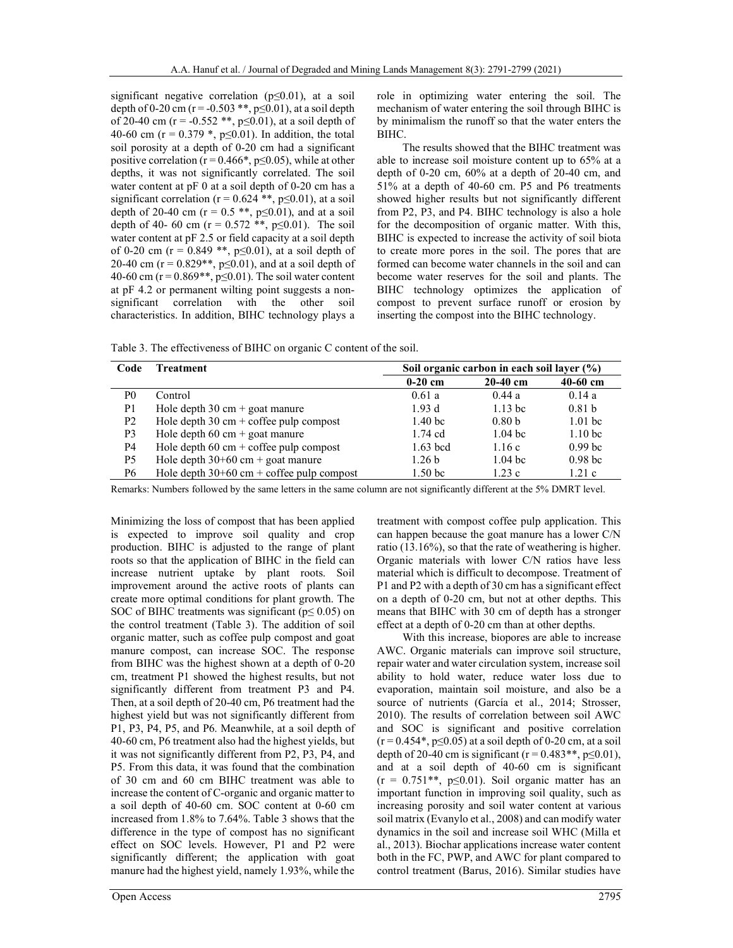significant negative correlation (p≤0.01), at a soil depth of 0-20 cm ( $r = -0.503$  \*\*,  $p \le 0.01$ ), at a soil depth of 20-40 cm (r = -0.552 \*\*, p \pm 0.01), at a soil depth of 40-60 cm ( $r = 0.379$  \*,  $p \le 0.01$ ). In addition, the total soil porosity at a depth of 0-20 cm had a significant positive correlation ( $r = 0.466$ <sup>\*</sup>,  $p \le 0.05$ ), while at other depths, it was not significantly correlated. The soil water content at pF 0 at a soil depth of 0-20 cm has a significant correlation ( $r = 0.624$  \*\*,  $p \le 0.01$ ), at a soil depth of 20-40 cm ( $r = 0.5$  \*\*, p $\leq 0.01$ ), and at a soil depth of 40- 60 cm ( $r = 0.572$  \*\*, p≤0.01). The soil water content at pF 2.5 or field capacity at a soil depth of 0-20 cm ( $r = 0.849$  \*\*, p $\leq 0.01$ ), at a soil depth of 20-40 cm ( $r = 0.829**$ ,  $p \le 0.01$ ), and at a soil depth of 40-60 cm ( $r = 0.869$ \*\*,  $p \le 0.01$ ). The soil water content at pF 4.2 or permanent wilting point suggests a nonsignificant correlation with the other soil characteristics. In addition, BIHC technology plays a

role in optimizing water entering the soil. The mechanism of water entering the soil through BIHC is by minimalism the runoff so that the water enters the BIHC.

The results showed that the BIHC treatment was able to increase soil moisture content up to 65% at a depth of 0-20 cm, 60% at a depth of 20-40 cm, and 51% at a depth of 40-60 cm. P5 and P6 treatments showed higher results but not significantly different from P2, P3, and P4. BIHC technology is also a hole for the decomposition of organic matter. With this, BIHC is expected to increase the activity of soil biota to create more pores in the soil. The pores that are formed can become water channels in the soil and can become water reserves for the soil and plants. The BIHC technology optimizes the application of compost to prevent surface runoff or erosion by inserting the compost into the BIHC technology.

Table 3. The effectiveness of BIHC on organic C content of the soil.

| Code           | Treatment                                               | Soil organic carbon in each soil laver (%) |                   |                    |
|----------------|---------------------------------------------------------|--------------------------------------------|-------------------|--------------------|
|                |                                                         | $0-20$ cm                                  | $20-40$ cm        | $40-60$ cm         |
| P0             | Control                                                 | 0.61a                                      | 0.44a             | 0.14a              |
| P <sub>1</sub> | Hole depth $30 \text{ cm} + \text{goat}$ manure         | 1.93d                                      | $1.13$ bc         | 0.81 <sub>b</sub>  |
| P <sub>2</sub> | Hole depth $30 \text{ cm} + \text{cofree pulp}$ compost | 1.40 <sub>bc</sub>                         | 0.80 <sub>b</sub> | $1.01$ bc          |
| P <sub>3</sub> | Hole depth $60 \text{ cm} + \text{goat}$ manure         | $1.74$ cd                                  | $1.04$ bc         | 1.10 <sub>bc</sub> |
| P4             | Hole depth $60 \text{ cm} + \text{cofree}$ pulp compost | $1.63$ bcd                                 | 1.16c             | 0.99 <sub>bc</sub> |
| P <sub>5</sub> | Hole depth $30+60$ cm + goat manure                     | 1.26 <sub>b</sub>                          | $1.04$ bc         | 0.98 <sub>bc</sub> |
| P6             | Hole depth $30+60$ cm + coffee pulp compost             | 1.50 <sub>bc</sub>                         | 1.23c             | 1.21c              |

Remarks: Numbers followed by the same letters in the same column are not significantly different at the 5% DMRT level.

Minimizing the loss of compost that has been applied is expected to improve soil quality and crop production. BIHC is adjusted to the range of plant roots so that the application of BIHC in the field can increase nutrient uptake by plant roots. Soil improvement around the active roots of plants can create more optimal conditions for plant growth. The SOC of BIHC treatments was significant ( $p \le 0.05$ ) on the control treatment (Table 3). The addition of soil organic matter, such as coffee pulp compost and goat manure compost, can increase SOC. The response from BIHC was the highest shown at a depth of 0-20 cm, treatment P1 showed the highest results, but not significantly different from treatment P3 and P4. Then, at a soil depth of 20-40 cm, P6 treatment had the highest yield but was not significantly different from P1, P3, P4, P5, and P6. Meanwhile, at a soil depth of 40-60 cm, P6 treatment also had the highest yields, but it was not significantly different from P2, P3, P4, and P5. From this data, it was found that the combination of 30 cm and 60 cm BIHC treatment was able to increase the content of C-organic and organic matter to a soil depth of 40-60 cm. SOC content at 0-60 cm increased from 1.8% to 7.64%. Table 3 shows that the difference in the type of compost has no significant effect on SOC levels. However, P1 and P2 were significantly different; the application with goat manure had the highest yield, namely 1.93%, while the

treatment with compost coffee pulp application. This can happen because the goat manure has a lower C/N ratio (13.16%), so that the rate of weathering is higher. Organic materials with lower C/N ratios have less material which is difficult to decompose. Treatment of P1 and P2 with a depth of 30 cm has a significant effect on a depth of 0-20 cm, but not at other depths. This means that BIHC with 30 cm of depth has a stronger effect at a depth of 0-20 cm than at other depths.

With this increase, biopores are able to increase AWC. Organic materials can improve soil structure, repair water and water circulation system, increase soil ability to hold water, reduce water loss due to evaporation, maintain soil moisture, and also be a source of nutrients (García et al., 2014; Strosser, 2010). The results of correlation between soil AWC and SOC is significant and positive correlation  $(r = 0.454^*$ , p $\leq 0.05$ ) at a soil depth of 0-20 cm, at a soil depth of 20-40 cm is significant ( $r = 0.483$ <sup>\*\*</sup>,  $p \le 0.01$ ), and at a soil depth of 40-60 cm is significant  $(r = 0.751**, p \le 0.01)$ . Soil organic matter has an important function in improving soil quality, such as increasing porosity and soil water content at various soil matrix (Evanylo et al., 2008) and can modify water dynamics in the soil and increase soil WHC (Milla et al., 2013). Biochar applications increase water content both in the FC, PWP, and AWC for plant compared to control treatment (Barus, 2016). Similar studies have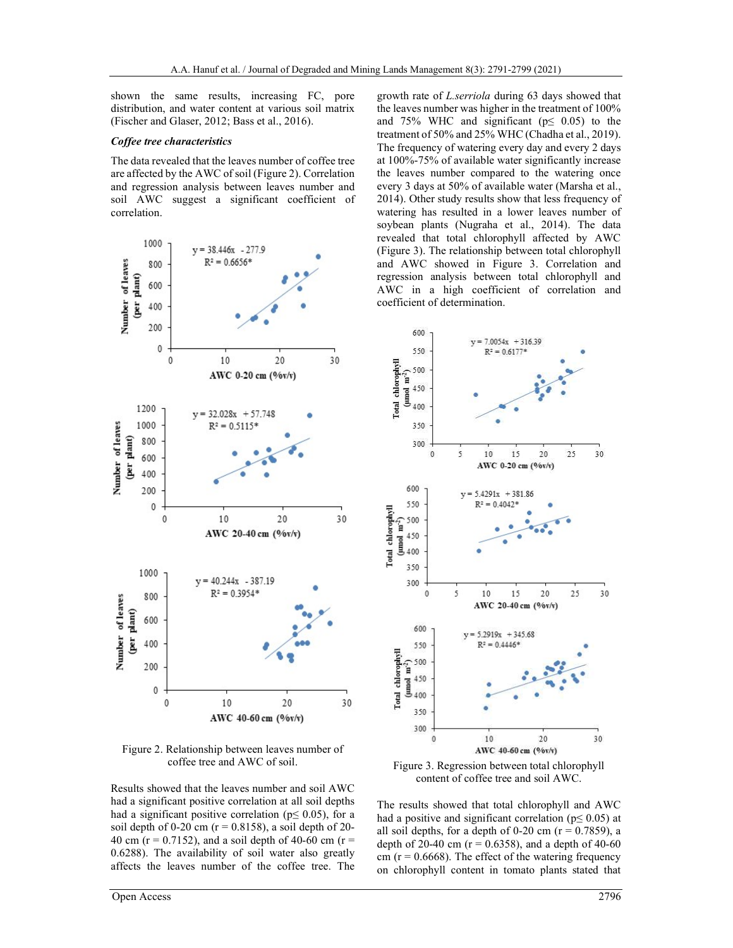shown the same results, increasing FC, pore distribution, and water content at various soil matrix (Fischer and Glaser, 2012; Bass et al., 2016).

#### Coffee tree characteristics

The data revealed that the leaves number of coffee tree are affected by the AWC of soil (Figure 2). Correlation and regression analysis between leaves number and soil AWC suggest a significant coefficient of correlation.



Figure 2. Relationship between leaves number of coffee tree and AWC of soil.

Results showed that the leaves number and soil AWC had a significant positive correlation at all soil depths had a significant positive correlation ( $p \leq 0.05$ ), for a soil depth of 0-20 cm  $(r = 0.8158)$ , a soil depth of 20-40 cm ( $r = 0.7152$ ), and a soil depth of 40-60 cm ( $r =$ 0.6288). The availability of soil water also greatly affects the leaves number of the coffee tree. The growth rate of L.serriola during 63 days showed that the leaves number was higher in the treatment of 100% and 75% WHC and significant ( $p \leq 0.05$ ) to the treatment of 50% and 25% WHC (Chadha et al., 2019). The frequency of watering every day and every 2 days at 100%-75% of available water significantly increase the leaves number compared to the watering once every 3 days at 50% of available water (Marsha et al., 2014). Other study results show that less frequency of watering has resulted in a lower leaves number of soybean plants (Nugraha et al., 2014). The data revealed that total chlorophyll affected by AWC (Figure 3). The relationship between total chlorophyll and AWC showed in Figure 3. Correlation and regression analysis between total chlorophyll and AWC in a high coefficient of correlation and coefficient of determination.



Figure 3. Regression between total chlorophyll content of coffee tree and soil AWC.

The results showed that total chlorophyll and AWC had a positive and significant correlation ( $p \le 0.05$ ) at all soil depths, for a depth of 0-20 cm ( $r = 0.7859$ ), a depth of 20-40 cm ( $r = 0.6358$ ), and a depth of 40-60 cm ( $r = 0.6668$ ). The effect of the watering frequency on chlorophyll content in tomato plants stated that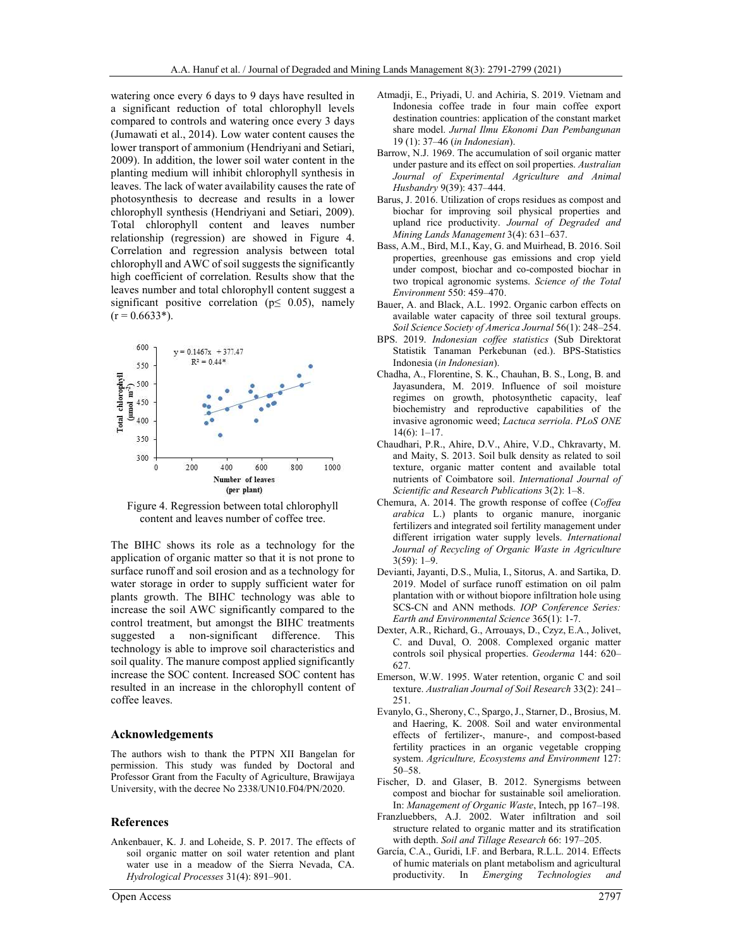watering once every 6 days to 9 days have resulted in a significant reduction of total chlorophyll levels compared to controls and watering once every 3 days (Jumawati et al., 2014). Low water content causes the lower transport of ammonium (Hendriyani and Setiari, 2009). In addition, the lower soil water content in the planting medium will inhibit chlorophyll synthesis in leaves. The lack of water availability causes the rate of photosynthesis to decrease and results in a lower chlorophyll synthesis (Hendriyani and Setiari, 2009). Total chlorophyll content and leaves number relationship (regression) are showed in Figure 4. Correlation and regression analysis between total chlorophyll and AWC of soil suggests the significantly high coefficient of correlation. Results show that the leaves number and total chlorophyll content suggest a significant positive correlation ( $p \leq 0.05$ ), namely  $(r = 0.6633*)$ .



Figure 4. Regression between total chlorophyll content and leaves number of coffee tree.

The BIHC shows its role as a technology for the application of organic matter so that it is not prone to surface runoff and soil erosion and as a technology for water storage in order to supply sufficient water for plants growth. The BIHC technology was able to increase the soil AWC significantly compared to the control treatment, but amongst the BIHC treatments suggested a non-significant difference. This technology is able to improve soil characteristics and soil quality. The manure compost applied significantly increase the SOC content. Increased SOC content has resulted in an increase in the chlorophyll content of coffee leaves.

#### Acknowledgements

The authors wish to thank the PTPN XII Bangelan for permission. This study was funded by Doctoral and Professor Grant from the Faculty of Agriculture, Brawijaya University, with the decree No 2338/UN10.F04/PN/2020.

#### References

Ankenbauer, K. J. and Loheide, S. P. 2017. The effects of soil organic matter on soil water retention and plant water use in a meadow of the Sierra Nevada, CA. Hydrological Processes 31(4): 891–901.

- Atmadji, E., Priyadi, U. and Achiria, S. 2019. Vietnam and Indonesia coffee trade in four main coffee export destination countries: application of the constant market share model. Jurnal Ilmu Ekonomi Dan Pembangunan 19 (1): 37–46 (in Indonesian).
- Barrow, N.J. 1969. The accumulation of soil organic matter under pasture and its effect on soil properties. Australian Journal of Experimental Agriculture and Animal Husbandry 9(39): 437–444.
- Barus, J. 2016. Utilization of crops residues as compost and biochar for improving soil physical properties and upland rice productivity. Journal of Degraded and Mining Lands Management 3(4): 631–637.
- Bass, A.M., Bird, M.I., Kay, G. and Muirhead, B. 2016. Soil properties, greenhouse gas emissions and crop yield under compost, biochar and co-composted biochar in two tropical agronomic systems. Science of the Total Environment 550: 459–470.
- Bauer, A. and Black, A.L. 1992. Organic carbon effects on available water capacity of three soil textural groups. Soil Science Society of America Journal 56(1): 248–254.
- BPS. 2019. Indonesian coffee statistics (Sub Direktorat Statistik Tanaman Perkebunan (ed.). BPS-Statistics Indonesia (in Indonesian).
- Chadha, A., Florentine, S. K., Chauhan, B. S., Long, B. and Jayasundera, M. 2019. Influence of soil moisture regimes on growth, photosynthetic capacity, leaf biochemistry and reproductive capabilities of the invasive agronomic weed; Lactuca serriola. PLoS ONE 14(6): 1–17.
- Chaudhari, P.R., Ahire, D.V., Ahire, V.D., Chkravarty, M. and Maity, S. 2013. Soil bulk density as related to soil texture, organic matter content and available total nutrients of Coimbatore soil. International Journal of Scientific and Research Publications 3(2): 1–8.
- Chemura, A. 2014. The growth response of coffee (Coffea arabica L.) plants to organic manure, inorganic fertilizers and integrated soil fertility management under different irrigation water supply levels. International Journal of Recycling of Organic Waste in Agriculture 3(59): 1–9.
- Devianti, Jayanti, D.S., Mulia, I., Sitorus, A. and Sartika, D. 2019. Model of surface runoff estimation on oil palm plantation with or without biopore infiltration hole using SCS-CN and ANN methods. IOP Conference Series: Earth and Environmental Science 365(1): 1-7.
- Dexter, A.R., Richard, G., Arrouays, D., Czyz, E.A., Jolivet, C. and Duval, O. 2008. Complexed organic matter controls soil physical properties. Geoderma 144: 620– 627.
- Emerson, W.W. 1995. Water retention, organic C and soil texture. Australian Journal of Soil Research 33(2): 241– 251.
- Evanylo, G., Sherony, C., Spargo, J., Starner, D., Brosius, M. and Haering, K. 2008. Soil and water environmental effects of fertilizer-, manure-, and compost-based fertility practices in an organic vegetable cropping system. Agriculture, Ecosystems and Environment 127: 50–58.
- Fischer, D. and Glaser, B. 2012. Synergisms between compost and biochar for sustainable soil amelioration. In: Management of Organic Waste, Intech, pp 167–198.
- Franzluebbers, A.J. 2002. Water infiltration and soil structure related to organic matter and its stratification with depth. Soil and Tillage Research 66: 197–205.
- García, C.A., Guridi, I.F. and Berbara, R.L.L. 2014. Effects of humic materials on plant metabolism and agricultural productivity. In Emerging Technologies and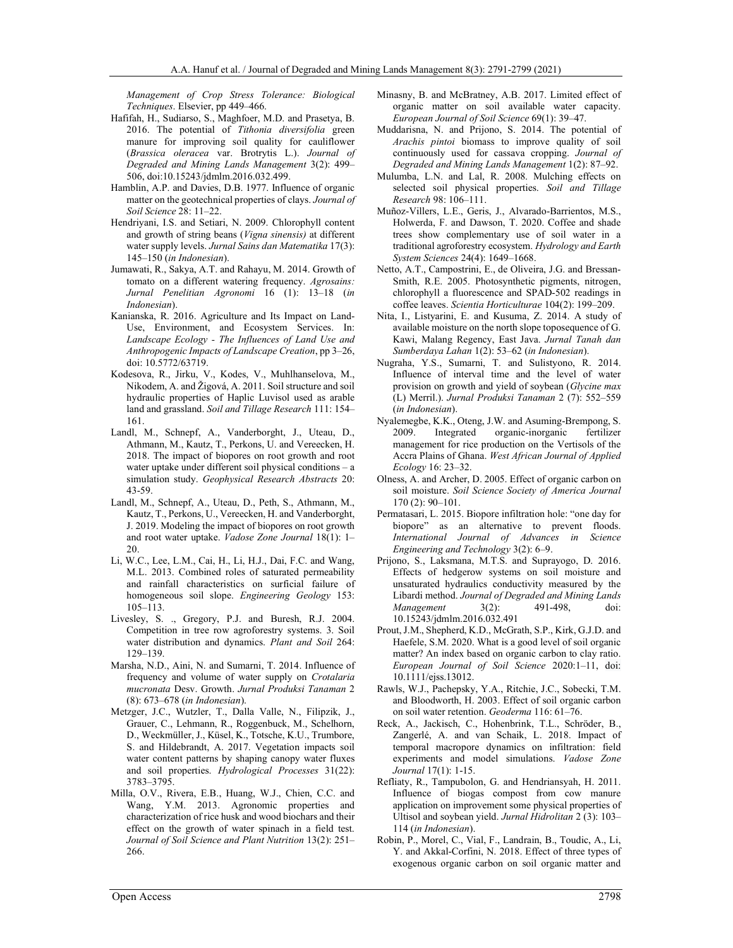Management of Crop Stress Tolerance: Biological Techniques. Elsevier, pp 449–466.

- Hafifah, H., Sudiarso, S., Maghfoer, M.D. and Prasetya, B. 2016. The potential of Tithonia diversifolia green manure for improving soil quality for cauliflower (Brassica oleracea var. Brotrytis L.). Journal of Degraded and Mining Lands Management 3(2): 499– 506, doi:10.15243/jdmlm.2016.032.499.
- Hamblin, A.P. and Davies, D.B. 1977. Influence of organic matter on the geotechnical properties of clays. Journal of Soil Science 28: 11–22.
- Hendriyani, I.S. and Setiari, N. 2009. Chlorophyll content and growth of string beans (Vigna sinensis) at different water supply levels. Jurnal Sains dan Matematika 17(3): 145–150 (in Indonesian).
- Jumawati, R., Sakya, A.T. and Rahayu, M. 2014. Growth of tomato on a different watering frequency. Agrosains: Jurnal Penelitian Agronomi 16 (1): 13–18 (in Indonesian).
- Kanianska, R. 2016. Agriculture and Its Impact on Land‐ Use, Environment, and Ecosystem Services. In: Landscape Ecology - The Influences of Land Use and Anthropogenic Impacts of Landscape Creation, pp 3–26, doi: 10.5772/63719.
- Kodesova, R., Jirku, V., Kodes, V., Muhlhanselova, M., Nikodem, A. and Žigová, A. 2011. Soil structure and soil hydraulic properties of Haplic Luvisol used as arable land and grassland. Soil and Tillage Research 111: 154– 161.
- Landl, M., Schnepf, A., Vanderborght, J., Uteau, D., Athmann, M., Kautz, T., Perkons, U. and Vereecken, H. 2018. The impact of biopores on root growth and root water uptake under different soil physical conditions – a simulation study. Geophysical Research Abstracts 20: 43-59.
- Landl, M., Schnepf, A., Uteau, D., Peth, S., Athmann, M., Kautz, T., Perkons, U., Vereecken, H. and Vanderborght, J. 2019. Modeling the impact of biopores on root growth and root water uptake. Vadose Zone Journal 18(1): 1– 20.
- Li, W.C., Lee, L.M., Cai, H., Li, H.J., Dai, F.C. and Wang, M.L. 2013. Combined roles of saturated permeability and rainfall characteristics on surficial failure of homogeneous soil slope. Engineering Geology 153: 105–113.
- Livesley, S. ., Gregory, P.J. and Buresh, R.J. 2004. Competition in tree row agroforestry systems. 3. Soil water distribution and dynamics. Plant and Soil 264: 129–139.
- Marsha, N.D., Aini, N. and Sumarni, T. 2014. Influence of frequency and volume of water supply on Crotalaria mucronata Desv. Growth. Jurnal Produksi Tanaman 2 (8): 673–678 (in Indonesian).
- Metzger, J.C., Wutzler, T., Dalla Valle, N., Filipzik, J., Grauer, C., Lehmann, R., Roggenbuck, M., Schelhorn, D., Weckmüller, J., Küsel, K., Totsche, K.U., Trumbore, S. and Hildebrandt, A. 2017. Vegetation impacts soil water content patterns by shaping canopy water fluxes and soil properties. Hydrological Processes 31(22): 3783–3795.
- Milla, O.V., Rivera, E.B., Huang, W.J., Chien, C.C. and Wang, Y.M. 2013. Agronomic properties and characterization of rice husk and wood biochars and their effect on the growth of water spinach in a field test. Journal of Soil Science and Plant Nutrition 13(2): 251– 266.
- Minasny, B. and McBratney, A.B. 2017. Limited effect of organic matter on soil available water capacity. European Journal of Soil Science 69(1): 39–47.
- Muddarisna, N. and Prijono, S. 2014. The potential of Arachis pintoi biomass to improve quality of soil continuously used for cassava cropping. Journal of Degraded and Mining Lands Management 1(2): 87–92.
- Mulumba, L.N. and Lal, R. 2008. Mulching effects on selected soil physical properties. Soil and Tillage Research 98: 106–111.
- Muñoz-Villers, L.E., Geris, J., Alvarado-Barrientos, M.S., Holwerda, F. and Dawson, T. 2020. Coffee and shade trees show complementary use of soil water in a traditional agroforestry ecosystem. Hydrology and Earth System Sciences 24(4): 1649–1668.
- Netto, A.T., Campostrini, E., de Oliveira, J.G. and Bressan-Smith, R.E. 2005. Photosynthetic pigments, nitrogen, chlorophyll a fluorescence and SPAD-502 readings in coffee leaves. Scientia Horticulturae 104(2): 199–209.
- Nita, I., Listyarini, E. and Kusuma, Z. 2014. A study of available moisture on the north slope toposequence of G. Kawi, Malang Regency, East Java. Jurnal Tanah dan Sumberdaya Lahan 1(2): 53–62 (in Indonesian).
- Nugraha, Y.S., Sumarni, T. and Sulistyono, R. 2014. Influence of interval time and the level of water provision on growth and yield of soybean (Glycine max (L) Merril.). Jurnal Produksi Tanaman 2 (7): 552–559 (in Indonesian).
- Nyalemegbe, K.K., Oteng, J.W. and Asuming-Brempong, S. 2009. Integrated organic-inorganic fertilizer management for rice production on the Vertisols of the Accra Plains of Ghana. West African Journal of Applied Ecology 16: 23–32.
- Olness, A. and Archer, D. 2005. Effect of organic carbon on soil moisture. Soil Science Society of America Journal 170 (2): 90–101.
- Permatasari, L. 2015. Biopore infiltration hole: "one day for biopore" as an alternative to prevent floods. International Journal of Advances in Science Engineering and Technology 3(2): 6–9.
- Prijono, S., Laksmana, M.T.S. and Suprayogo, D. 2016. Effects of hedgerow systems on soil moisture and unsaturated hydraulics conductivity measured by the Libardi method. Journal of Degraded and Mining Lands Management 3(2): 491-498, doi: 10.15243/jdmlm.2016.032.491
- Prout, J.M., Shepherd, K.D., McGrath, S.P., Kirk, G.J.D. and Haefele, S.M. 2020. What is a good level of soil organic matter? An index based on organic carbon to clay ratio. European Journal of Soil Science 2020:1–11, doi: 10.1111/ejss.13012.
- Rawls, W.J., Pachepsky, Y.A., Ritchie, J.C., Sobecki, T.M. and Bloodworth, H. 2003. Effect of soil organic carbon on soil water retention. Geoderma 116: 61–76.
- Reck, A., Jackisch, C., Hohenbrink, T.L., Schröder, B., Zangerlé, A. and van Schaik, L. 2018. Impact of temporal macropore dynamics on infiltration: field experiments and model simulations. Vadose Zone Journal 17(1): 1-15.
- Refliaty, R., Tampubolon, G. and Hendriansyah, H. 2011. Influence of biogas compost from cow manure application on improvement some physical properties of Ultisol and soybean yield. Jurnal Hidrolitan 2 (3): 103– 114 (in Indonesian).
- Robin, P., Morel, C., Vial, F., Landrain, B., Toudic, A., Li, Y. and Akkal-Corfini, N. 2018. Effect of three types of exogenous organic carbon on soil organic matter and